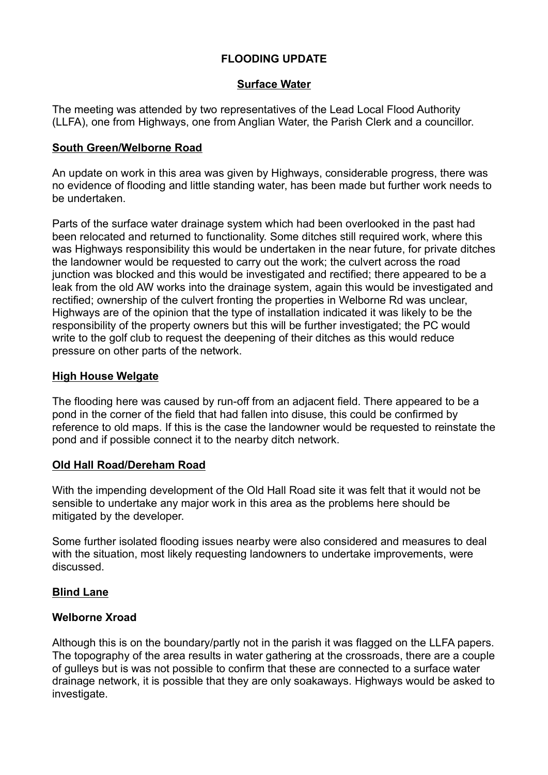# FLOODING UPDATE

# Surface Water

The meeting was attended by two representatives of the Lead Local Flood Authority (LLFA), one from Highways, one from Anglian Water, the Parish Clerk and a councillor.

### South Green/Welborne Road

An update on work in this area was given by Highways, considerable progress, there was no evidence of flooding and little standing water, has been made but further work needs to be undertaken.

Parts of the surface water drainage system which had been overlooked in the past had been relocated and returned to functionality. Some ditches still required work, where this was Highways responsibility this would be undertaken in the near future, for private ditches the landowner would be requested to carry out the work; the culvert across the road junction was blocked and this would be investigated and rectified; there appeared to be a leak from the old AW works into the drainage system, again this would be investigated and rectified; ownership of the culvert fronting the properties in Welborne Rd was unclear, Highways are of the opinion that the type of installation indicated it was likely to be the responsibility of the property owners but this will be further investigated; the PC would write to the golf club to request the deepening of their ditches as this would reduce pressure on other parts of the network.

### **High House Welgate**

The flooding here was caused by run-off from an adjacent field. There appeared to be a pond in the corner of the field that had fallen into disuse, this could be confirmed by reference to old maps. If this is the case the landowner would be requested to reinstate the pond and if possible connect it to the nearby ditch network.

# Old Hall Road/Dereham Road

With the impending development of the Old Hall Road site it was felt that it would not be sensible to undertake any major work in this area as the problems here should be mitigated by the developer.

Some further isolated flooding issues nearby were also considered and measures to deal with the situation, most likely requesting landowners to undertake improvements, were discussed.

# Blind Lane

#### Welborne Xroad

Although this is on the boundary/partly not in the parish it was flagged on the LLFA papers. The topography of the area results in water gathering at the crossroads, there are a couple of gulleys but is was not possible to confirm that these are connected to a surface water drainage network, it is possible that they are only soakaways. Highways would be asked to investigate.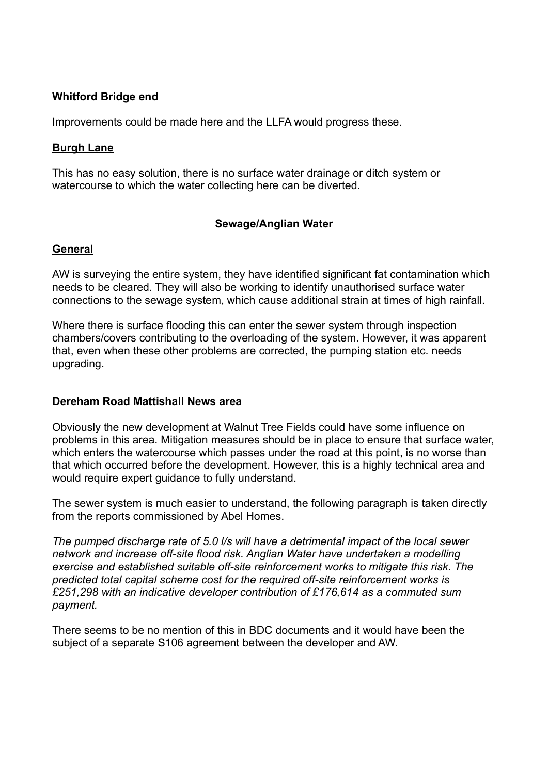# Whitford Bridge end

Improvements could be made here and the LLFA would progress these.

#### Burgh Lane

This has no easy solution, there is no surface water drainage or ditch system or watercourse to which the water collecting here can be diverted.

# Sewage/Anglian Water

#### General

AW is surveying the entire system, they have identified significant fat contamination which needs to be cleared. They will also be working to identify unauthorised surface water connections to the sewage system, which cause additional strain at times of high rainfall.

Where there is surface flooding this can enter the sewer system through inspection chambers/covers contributing to the overloading of the system. However, it was apparent that, even when these other problems are corrected, the pumping station etc. needs upgrading.

#### Dereham Road Mattishall News area

Obviously the new development at Walnut Tree Fields could have some influence on problems in this area. Mitigation measures should be in place to ensure that surface water, which enters the watercourse which passes under the road at this point, is no worse than that which occurred before the development. However, this is a highly technical area and would require expert guidance to fully understand.

The sewer system is much easier to understand, the following paragraph is taken directly from the reports commissioned by Abel Homes.

The pumped discharge rate of 5.0 l/s will have a detrimental impact of the local sewer network and increase off-site flood risk. Anglian Water have undertaken a modelling exercise and established suitable off-site reinforcement works to mitigate this risk. The predicted total capital scheme cost for the required off-site reinforcement works is £251,298 with an indicative developer contribution of £176,614 as a commuted sum payment.

There seems to be no mention of this in BDC documents and it would have been the subject of a separate S106 agreement between the developer and AW.